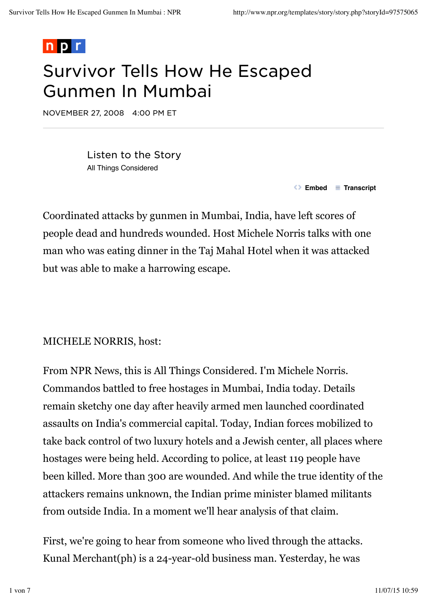

## Survivor Tells How He Escaped Gunmen In Mumbai

NOVEMBER 27, 2008 4:00 PM ET

Listen to the Story All Things Considered

 $\bullet$  **Embed**  $\bullet$  **Transcript** 

Coordinated attacks by gunmen in Mumbai, India, have left scores of people dead and hundreds wounded. Host Michele Norris talks with one man who was eating dinner in the Taj Mahal Hotel when it was attacked but was able to make a harrowing escape.

#### MICHELE NORRIS, host:

From NPR News, this is All Things Considered. I'm Michele Norris. Commandos battled to free hostages in Mumbai, India today. Details remain sketchy one day after heavily armed men launched coordinated assaults on India's commercial capital. Today, Indian forces mobilized to take back control of two luxury hotels and a Jewish center, all places where hostages were being held. According to police, at least 119 people have been killed. More than 300 are wounded. And while the true identity of the attackers remains unknown, the Indian prime minister blamed militants from outside India. In a moment we'll hear analysis of that claim.

First, we're going to hear from someone who lived through the attacks. Kunal Merchant(ph) is a 24-year-old business man. Yesterday, he was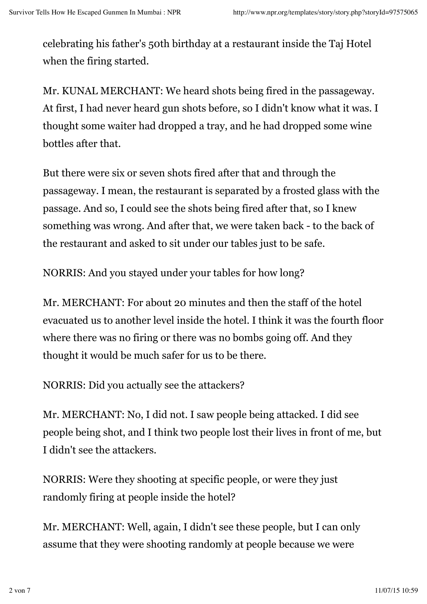celebrating his father's 50th birthday at a restaurant inside the Taj Hotel when the firing started.

Mr. KUNAL MERCHANT: We heard shots being fired in the passageway. At first, I had never heard gun shots before, so I didn't know what it was. I thought some waiter had dropped a tray, and he had dropped some wine bottles after that.

But there were six or seven shots fired after that and through the passageway. I mean, the restaurant is separated by a frosted glass with the passage. And so, I could see the shots being fired after that, so I knew something was wrong. And after that, we were taken back - to the back of the restaurant and asked to sit under our tables just to be safe.

NORRIS: And you stayed under your tables for how long?

Mr. MERCHANT: For about 20 minutes and then the staff of the hotel evacuated us to another level inside the hotel. I think it was the fourth floor where there was no firing or there was no bombs going off. And they thought it would be much safer for us to be there.

NORRIS: Did you actually see the attackers?

Mr. MERCHANT: No, I did not. I saw people being attacked. I did see people being shot, and I think two people lost their lives in front of me, but I didn't see the attackers.

NORRIS: Were they shooting at specific people, or were they just randomly firing at people inside the hotel?

Mr. MERCHANT: Well, again, I didn't see these people, but I can only assume that they were shooting randomly at people because we were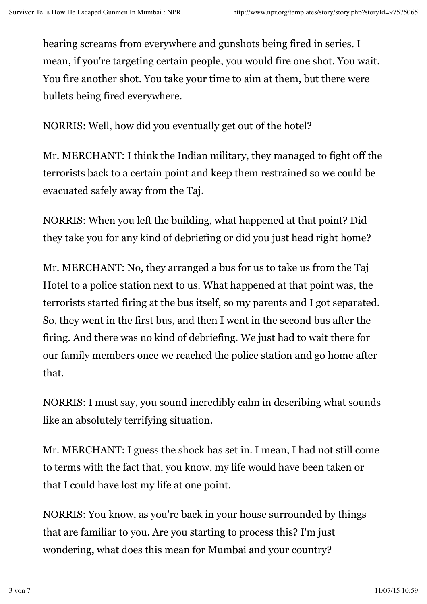hearing screams from everywhere and gunshots being fired in series. I mean, if you're targeting certain people, you would fire one shot. You wait. You fire another shot. You take your time to aim at them, but there were bullets being fired everywhere.

NORRIS: Well, how did you eventually get out of the hotel?

Mr. MERCHANT: I think the Indian military, they managed to fight off the terrorists back to a certain point and keep them restrained so we could be evacuated safely away from the Taj.

NORRIS: When you left the building, what happened at that point? Did they take you for any kind of debriefing or did you just head right home?

Mr. MERCHANT: No, they arranged a bus for us to take us from the Taj Hotel to a police station next to us. What happened at that point was, the terrorists started firing at the bus itself, so my parents and I got separated. So, they went in the first bus, and then I went in the second bus after the firing. And there was no kind of debriefing. We just had to wait there for our family members once we reached the police station and go home after that.

NORRIS: I must say, you sound incredibly calm in describing what sounds like an absolutely terrifying situation.

Mr. MERCHANT: I guess the shock has set in. I mean, I had not still come to terms with the fact that, you know, my life would have been taken or that I could have lost my life at one point.

NORRIS: You know, as you're back in your house surrounded by things that are familiar to you. Are you starting to process this? I'm just wondering, what does this mean for Mumbai and your country?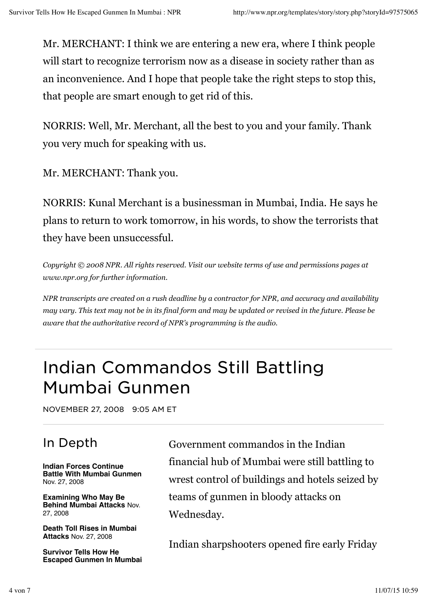Mr. MERCHANT: I think we are entering a new era, where I think people will start to recognize terrorism now as a disease in society rather than as an inconvenience. And I hope that people take the right steps to stop this, that people are smart enough to get rid of this.

NORRIS: Well, Mr. Merchant, all the best to you and your family. Thank you very much for speaking with us.

Mr. MERCHANT: Thank you.

NORRIS: Kunal Merchant is a businessman in Mumbai, India. He says he plans to return to work tomorrow, in his words, to show the terrorists that they have been unsuccessful.

*Copyright © 2008 NPR. All rights reserved. Visit our website terms of use and permissions pages at www.npr.org for further information.*

*NPR transcripts are created on a rush deadline by a contractor for NPR, and accuracy and availability may vary. This text may not be in its final form and may be updated or revised in the future. Please be aware that the authoritative record of NPR's programming is the audio.*

# Indian Commandos Still Battling Mumbai Gunmen

NOVEMBER 27, 2008 9:05 AM ET

## In Depth

**Indian Forces Continue Battle With Mumbai Gunmen** Nov. 27, 2008

**Examining Who May Be Behind Mumbai Attacks** Nov. 27, 2008

**Death Toll Rises in Mumbai Attacks** Nov. 27, 2008

**Survivor Tells How He Escaped Gunmen In Mumbai** Government commandos in the Indian financial hub of Mumbai were still battling to wrest control of buildings and hotels seized by teams of gunmen in bloody attacks on Wednesday.

Indian sharpshooters opened fire early Friday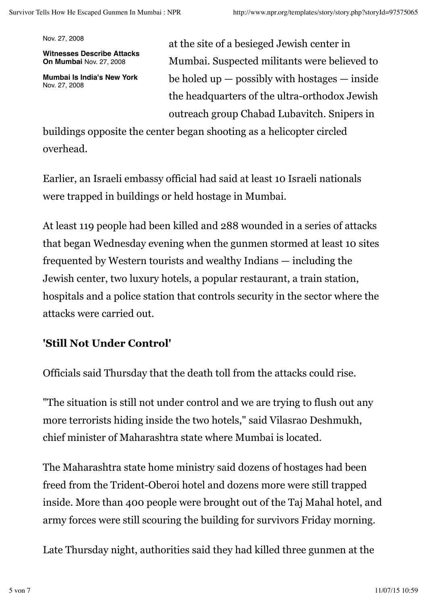Nov. 27, 2008

**Witnesses Describe Attacks On Mumbai** Nov. 27, 2008

**Mumbai Is India's New York** Nov. 27, 2008

at the site of a besieged Jewish center in Mumbai. Suspected militants were believed to be holed up  $-$  possibly with hostages  $-$  inside the headquarters of the ultra-orthodox Jewish outreach group Chabad Lubavitch. Snipers in

buildings opposite the center began shooting as a helicopter circled overhead.

Earlier, an Israeli embassy official had said at least 10 Israeli nationals were trapped in buildings or held hostage in Mumbai.

At least 119 people had been killed and 288 wounded in a series of attacks that began Wednesday evening when the gunmen stormed at least 10 sites frequented by Western tourists and wealthy Indians — including the Jewish center, two luxury hotels, a popular restaurant, a train station, hospitals and a police station that controls security in the sector where the attacks were carried out.

### **'Still Not Under Control'**

Officials said Thursday that the death toll from the attacks could rise.

"The situation is still not under control and we are trying to flush out any more terrorists hiding inside the two hotels," said Vilasrao Deshmukh, chief minister of Maharashtra state where Mumbai is located.

The Maharashtra state home ministry said dozens of hostages had been freed from the Trident-Oberoi hotel and dozens more were still trapped inside. More than 400 people were brought out of the Taj Mahal hotel, and army forces were still scouring the building for survivors Friday morning.

Late Thursday night, authorities said they had killed three gunmen at the